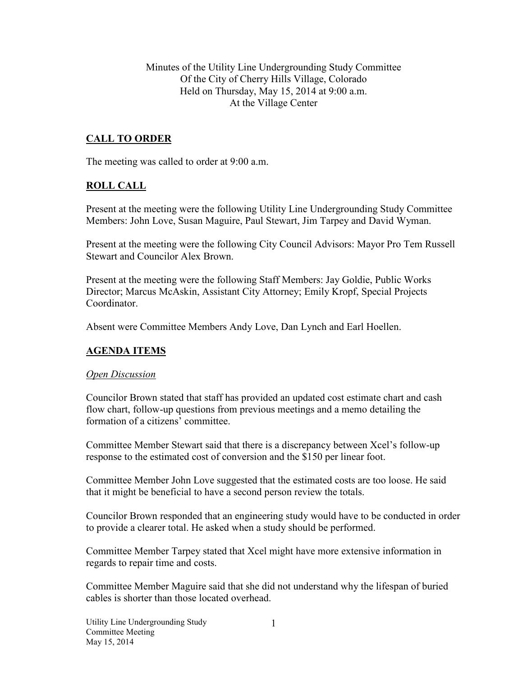Minutes of the Utility Line Undergrounding Study Committee Of the City of Cherry Hills Village, Colorado Held on Thursday, May 15, 2014 at 9:00 a.m. At the Village Center

## **CALL TO ORDER**

The meeting was called to order at 9:00 a.m.

### **ROLL CALL**

Present at the meeting were the following Utility Line Undergrounding Study Committee Members: John Love, Susan Maguire, Paul Stewart, Jim Tarpey and David Wyman.

Present at the meeting were the following City Council Advisors: Mayor Pro Tem Russell Stewart and Councilor Alex Brown.

Present at the meeting were the following Staff Members: Jay Goldie, Public Works Director; Marcus McAskin, Assistant City Attorney; Emily Kropf, Special Projects Coordinator.

Absent were Committee Members Andy Love, Dan Lynch and Earl Hoellen.

### **AGENDA ITEMS**

#### *Open Discussion*

Councilor Brown stated that staff has provided an updated cost estimate chart and cash flow chart, follow-up questions from previous meetings and a memo detailing the formation of a citizens' committee.

Committee Member Stewart said that there is a discrepancy between Xcel's follow-up response to the estimated cost of conversion and the \$150 per linear foot.

Committee Member John Love suggested that the estimated costs are too loose. He said that it might be beneficial to have a second person review the totals.

Councilor Brown responded that an engineering study would have to be conducted in order to provide a clearer total. He asked when a study should be performed.

Committee Member Tarpey stated that Xcel might have more extensive information in regards to repair time and costs.

Committee Member Maguire said that she did not understand why the lifespan of buried cables is shorter than those located overhead.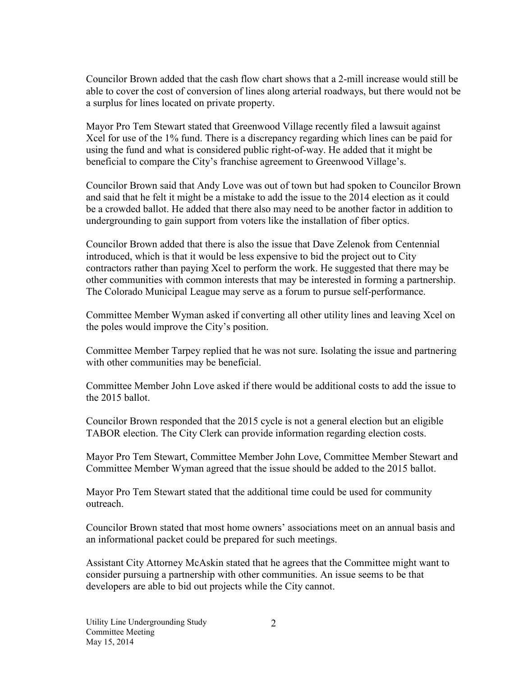Councilor Brown added that the cash flow chart shows that a 2-mill increase would still be able to cover the cost of conversion of lines along arterial roadways, but there would not be a surplus for lines located on private property.

Mayor Pro Tem Stewart stated that Greenwood Village recently filed a lawsuit against Xcel for use of the 1% fund. There is a discrepancy regarding which lines can be paid for using the fund and what is considered public right-of-way. He added that it might be beneficial to compare the City's franchise agreement to Greenwood Village's.

Councilor Brown said that Andy Love was out of town but had spoken to Councilor Brown and said that he felt it might be a mistake to add the issue to the 2014 election as it could be a crowded ballot. He added that there also may need to be another factor in addition to undergrounding to gain support from voters like the installation of fiber optics.

Councilor Brown added that there is also the issue that Dave Zelenok from Centennial introduced, which is that it would be less expensive to bid the project out to City contractors rather than paying Xcel to perform the work. He suggested that there may be other communities with common interests that may be interested in forming a partnership. The Colorado Municipal League may serve as a forum to pursue self-performance.

Committee Member Wyman asked if converting all other utility lines and leaving Xcel on the poles would improve the City's position.

Committee Member Tarpey replied that he was not sure. Isolating the issue and partnering with other communities may be beneficial.

Committee Member John Love asked if there would be additional costs to add the issue to the 2015 ballot.

Councilor Brown responded that the 2015 cycle is not a general election but an eligible TABOR election. The City Clerk can provide information regarding election costs.

Mayor Pro Tem Stewart, Committee Member John Love, Committee Member Stewart and Committee Member Wyman agreed that the issue should be added to the 2015 ballot.

Mayor Pro Tem Stewart stated that the additional time could be used for community outreach.

Councilor Brown stated that most home owners' associations meet on an annual basis and an informational packet could be prepared for such meetings.

Assistant City Attorney McAskin stated that he agrees that the Committee might want to consider pursuing a partnership with other communities. An issue seems to be that developers are able to bid out projects while the City cannot.